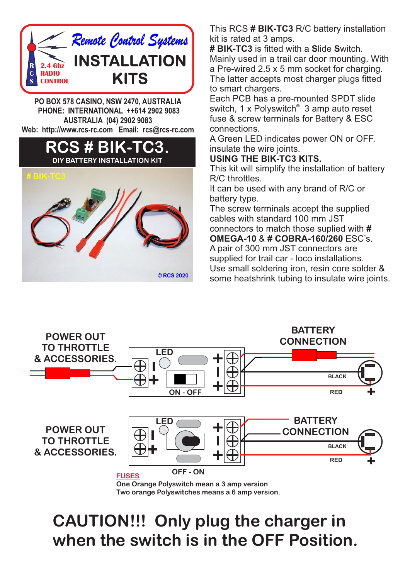

**PO BOX 578 CASINO, NSW 2470, AUSTRALIA PHONE: INTERNATIONAL ++614 2902 9083 AUSTRALIA (04) 2902 9083 Web: http://www.rcs-rc.com Email: rcs@rcs-rc.com**



This RCS **# BIK-TC3** R/C battery installation kit is rated at 3 amps.

**# BIK-TC3** is fitted with a **S**lide **S**witch. Mainly used in a trail car door mounting. With a Pre-wired 2.5 x 5 mm socket for charging. The latter accepts most charger plugs fitted to smart chargers.

Each PCB has a pre-mounted SPDT slide switch, 1 x Polyswitch<sup>®</sup> 3 amp auto reset fuse & screw terminals for Battery & ESC connections.

A Green LED indicates power ON or OFF. insulate the wire joints.

## **USING THE BIK-TC3 KITS.**

This kit will simplify the installation of battery R/C throttles.

It can be used with any brand of R/C or battery type.

The screw terminals accept the supplied cables with standard 100 mm JST connectors to match those suplied with **#** 

**OMEGA-10** & **# COBRA-160/260** ESC's. A pair of 300 mm JST connectors are supplied for trail car - loco installations. Use small soldering iron, resin core solder & some heatshrink tubing to insulate wire joints.



## **CAUTION!!! Only plug the charger in when the switch is in the OFF Position.**